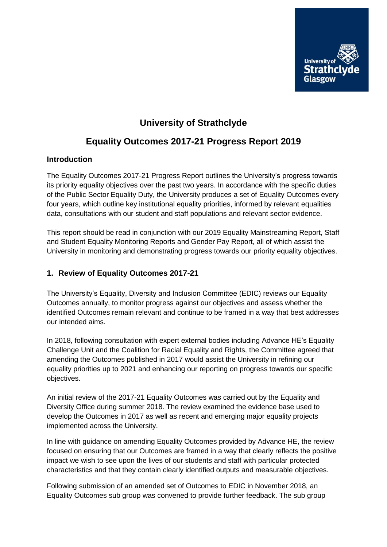

## **University of Strathclyde**

### **Equality Outcomes 2017-21 Progress Report 2019**

#### **Introduction**

The Equality Outcomes 2017-21 Progress Report outlines the University's progress towards its priority equality objectives over the past two years. In accordance with the specific duties of the Public Sector Equality Duty, the University produces a set of Equality Outcomes every four years, which outline key institutional equality priorities, informed by relevant equalities data, consultations with our student and staff populations and relevant sector evidence.

This report should be read in conjunction with our 2019 Equality Mainstreaming Report, Staff and Student Equality Monitoring Reports and Gender Pay Report, all of which assist the University in monitoring and demonstrating progress towards our priority equality objectives.

#### **1. Review of Equality Outcomes 2017-21**

The University's Equality, Diversity and Inclusion Committee (EDIC) reviews our Equality Outcomes annually, to monitor progress against our objectives and assess whether the identified Outcomes remain relevant and continue to be framed in a way that best addresses our intended aims.

In 2018, following consultation with expert external bodies including Advance HE's Equality Challenge Unit and the Coalition for Racial Equality and Rights, the Committee agreed that amending the Outcomes published in 2017 would assist the University in refining our equality priorities up to 2021 and enhancing our reporting on progress towards our specific objectives.

An initial review of the 2017-21 Equality Outcomes was carried out by the Equality and Diversity Office during summer 2018. The review examined the evidence base used to develop the Outcomes in 2017 as well as recent and emerging major equality projects implemented across the University.

In line with guidance on amending Equality Outcomes provided by Advance HE, the review focused on ensuring that our Outcomes are framed in a way that clearly reflects the positive impact we wish to see upon the lives of our students and staff with particular protected characteristics and that they contain clearly identified outputs and measurable objectives.

Following submission of an amended set of Outcomes to EDIC in November 2018, an Equality Outcomes sub group was convened to provide further feedback. The sub group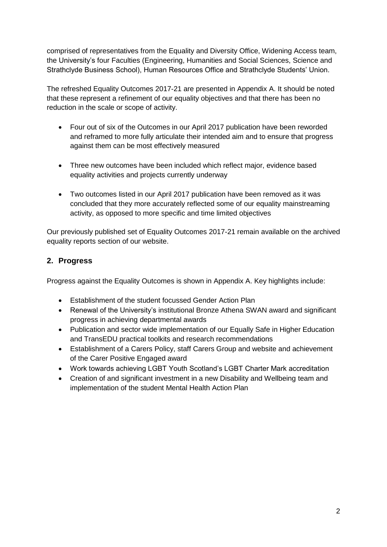comprised of representatives from the Equality and Diversity Office, Widening Access team, the University's four Faculties (Engineering, Humanities and Social Sciences, Science and Strathclyde Business School), Human Resources Office and Strathclyde Students' Union.

The refreshed Equality Outcomes 2017-21 are presented in Appendix A. It should be noted that these represent a refinement of our equality objectives and that there has been no reduction in the scale or scope of activity.

- Four out of six of the Outcomes in our April 2017 publication have been reworded and reframed to more fully articulate their intended aim and to ensure that progress against them can be most effectively measured
- Three new outcomes have been included which reflect major, evidence based equality activities and projects currently underway
- Two outcomes listed in our April 2017 publication have been removed as it was concluded that they more accurately reflected some of our equality mainstreaming activity, as opposed to more specific and time limited objectives

Our previously published set of Equality Outcomes 2017-21 remain available on the archived equality reports section of our website.

### **2. Progress**

Progress against the Equality Outcomes is shown in Appendix A. Key highlights include:

- Establishment of the student focussed Gender Action Plan
- Renewal of the University's institutional Bronze Athena SWAN award and significant progress in achieving departmental awards
- Publication and sector wide implementation of our Equally Safe in Higher Education and TransEDU practical toolkits and research recommendations
- Establishment of a Carers Policy, staff Carers Group and website and achievement of the Carer Positive Engaged award
- Work towards achieving LGBT Youth Scotland's LGBT Charter Mark accreditation
- Creation of and significant investment in a new Disability and Wellbeing team and implementation of the student Mental Health Action Plan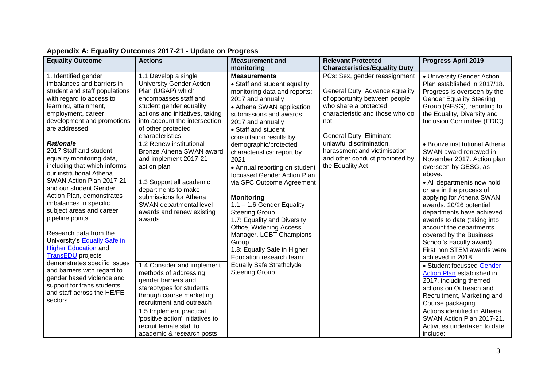| PCs: Sex, gender reassignment<br>1. Identified gender<br>1.1 Develop a single<br><b>Measurements</b><br>• University Gender Action<br>imbalances and barriers in<br><b>University Gender Action</b><br>• Staff and student equality<br>Plan established in 2017/18.<br>Plan (UGAP) which<br>student and staff populations<br>General Duty: Advance equality<br>monitoring data and reports:<br>Progress is overseen by the<br>encompasses staff and<br>of opportunity between people<br>with regard to access to<br>2017 and annually<br><b>Gender Equality Steering</b><br>student gender equality<br>who share a protected<br>learning, attainment,<br>Group (GESG), reporting to<br>• Athena SWAN application<br>actions and initiatives, taking<br>characteristic and those who do<br>employment, career<br>the Equality, Diversity and<br>submissions and awards:<br>development and promotions<br>into account the intersection<br>Inclusion Committee (EDIC)<br>2017 and annually<br>not<br>are addressed<br>of other protected<br>• Staff and student<br>characteristics<br>General Duty: Eliminate<br>consultation results by<br>unlawful discrimination,<br><b>Rationale</b><br>1.2 Renew institutional<br>• Bronze institutional Athena<br>demographic/protected<br>2017 Staff and student<br>harassment and victimisation<br>Bronze Athena SWAN award<br>SWAN award renewed in<br>characteristics: report by<br>equality monitoring data,<br>and other conduct prohibited by<br>and implement 2017-21<br>November 2017. Action plan<br>2021<br>including that which informs<br>the Equality Act<br>action plan<br>overseen by GESG, as<br>• Annual reporting on student<br>our institutional Athena<br>above.<br>focussed Gender Action Plan<br>SWAN Action Plan 2017-21<br>1.3 Support all academic<br>via SFC Outcome Agreement<br>• All departments now hold<br>and our student Gender<br>departments to make<br>or are in the process of<br>Action Plan, demonstrates<br>submissions for Athena<br><b>Monitoring</b><br>applying for Athena SWAN<br>imbalances in specific<br>SWAN departmental level<br>1.1 - 1.6 Gender Equality<br>awards. 20/26 potential<br>subject areas and career<br>awards and renew existing<br><b>Steering Group</b><br>departments have achieved<br>pipeline points.<br>awards<br>1.7: Equality and Diversity<br>awards to date (taking into<br>Office, Widening Access<br>account the departments<br>Research data from the<br>Manager, LGBT Champions<br>covered by the Business<br>University's <b>Equally Safe in</b><br>School's Faculty award).<br>Group<br><b>Higher Education and</b><br>1.8: Equally Safe in Higher<br>First non STEM awards were<br><b>TransEDU</b> projects<br>Education research team;<br>achieved in 2018.<br>demonstrates specific issues<br><b>Equally Safe Strathclyde</b><br>1.4 Consider and implement<br>• Student focussed Gender<br>and barriers with regard to<br><b>Steering Group</b><br>methods of addressing<br>Action Plan established in<br>gender based violence and<br>gender barriers and<br>2017, including themed<br>support for trans students<br>stereotypes for students<br>actions on Outreach and<br>and staff across the HE/FE<br>through course marketing,<br>Recruitment, Marketing and<br>sectors<br>recruitment and outreach<br>Course packaging.<br>Actions identified in Athena<br>1.5 Implement practical<br>'positive action' initiatives to<br>SWAN Action Plan 2017-21.<br>recruit female staff to<br>Activities undertaken to date | <b>Equality Outcome</b> | <b>Actions</b>            | <b>Measurement and</b> | <b>Relevant Protected</b>            | <b>Progress April 2019</b> |
|--------------------------------------------------------------------------------------------------------------------------------------------------------------------------------------------------------------------------------------------------------------------------------------------------------------------------------------------------------------------------------------------------------------------------------------------------------------------------------------------------------------------------------------------------------------------------------------------------------------------------------------------------------------------------------------------------------------------------------------------------------------------------------------------------------------------------------------------------------------------------------------------------------------------------------------------------------------------------------------------------------------------------------------------------------------------------------------------------------------------------------------------------------------------------------------------------------------------------------------------------------------------------------------------------------------------------------------------------------------------------------------------------------------------------------------------------------------------------------------------------------------------------------------------------------------------------------------------------------------------------------------------------------------------------------------------------------------------------------------------------------------------------------------------------------------------------------------------------------------------------------------------------------------------------------------------------------------------------------------------------------------------------------------------------------------------------------------------------------------------------------------------------------------------------------------------------------------------------------------------------------------------------------------------------------------------------------------------------------------------------------------------------------------------------------------------------------------------------------------------------------------------------------------------------------------------------------------------------------------------------------------------------------------------------------------------------------------------------------------------------------------------------------------------------------------------------------------------------------------------------------------------------------------------------------------------------------------------------------------------------------------------------------------------------------------------------------------------------------------------------------------------------------------------------------------------------------------------------------------------------------------------------------------------------------------------------------------------------------------------------------------------------------------------------------------------------------------------------------------------------------------------------------------------------|-------------------------|---------------------------|------------------------|--------------------------------------|----------------------------|
|                                                                                                                                                                                                                                                                                                                                                                                                                                                                                                                                                                                                                                                                                                                                                                                                                                                                                                                                                                                                                                                                                                                                                                                                                                                                                                                                                                                                                                                                                                                                                                                                                                                                                                                                                                                                                                                                                                                                                                                                                                                                                                                                                                                                                                                                                                                                                                                                                                                                                                                                                                                                                                                                                                                                                                                                                                                                                                                                                                                                                                                                                                                                                                                                                                                                                                                                                                                                                                                                                                                                                  |                         |                           | monitoring             | <b>Characteristics/Equality Duty</b> |                            |
|                                                                                                                                                                                                                                                                                                                                                                                                                                                                                                                                                                                                                                                                                                                                                                                                                                                                                                                                                                                                                                                                                                                                                                                                                                                                                                                                                                                                                                                                                                                                                                                                                                                                                                                                                                                                                                                                                                                                                                                                                                                                                                                                                                                                                                                                                                                                                                                                                                                                                                                                                                                                                                                                                                                                                                                                                                                                                                                                                                                                                                                                                                                                                                                                                                                                                                                                                                                                                                                                                                                                                  |                         |                           |                        |                                      |                            |
|                                                                                                                                                                                                                                                                                                                                                                                                                                                                                                                                                                                                                                                                                                                                                                                                                                                                                                                                                                                                                                                                                                                                                                                                                                                                                                                                                                                                                                                                                                                                                                                                                                                                                                                                                                                                                                                                                                                                                                                                                                                                                                                                                                                                                                                                                                                                                                                                                                                                                                                                                                                                                                                                                                                                                                                                                                                                                                                                                                                                                                                                                                                                                                                                                                                                                                                                                                                                                                                                                                                                                  |                         |                           |                        |                                      |                            |
|                                                                                                                                                                                                                                                                                                                                                                                                                                                                                                                                                                                                                                                                                                                                                                                                                                                                                                                                                                                                                                                                                                                                                                                                                                                                                                                                                                                                                                                                                                                                                                                                                                                                                                                                                                                                                                                                                                                                                                                                                                                                                                                                                                                                                                                                                                                                                                                                                                                                                                                                                                                                                                                                                                                                                                                                                                                                                                                                                                                                                                                                                                                                                                                                                                                                                                                                                                                                                                                                                                                                                  |                         |                           |                        |                                      |                            |
|                                                                                                                                                                                                                                                                                                                                                                                                                                                                                                                                                                                                                                                                                                                                                                                                                                                                                                                                                                                                                                                                                                                                                                                                                                                                                                                                                                                                                                                                                                                                                                                                                                                                                                                                                                                                                                                                                                                                                                                                                                                                                                                                                                                                                                                                                                                                                                                                                                                                                                                                                                                                                                                                                                                                                                                                                                                                                                                                                                                                                                                                                                                                                                                                                                                                                                                                                                                                                                                                                                                                                  |                         |                           |                        |                                      |                            |
|                                                                                                                                                                                                                                                                                                                                                                                                                                                                                                                                                                                                                                                                                                                                                                                                                                                                                                                                                                                                                                                                                                                                                                                                                                                                                                                                                                                                                                                                                                                                                                                                                                                                                                                                                                                                                                                                                                                                                                                                                                                                                                                                                                                                                                                                                                                                                                                                                                                                                                                                                                                                                                                                                                                                                                                                                                                                                                                                                                                                                                                                                                                                                                                                                                                                                                                                                                                                                                                                                                                                                  |                         |                           |                        |                                      |                            |
|                                                                                                                                                                                                                                                                                                                                                                                                                                                                                                                                                                                                                                                                                                                                                                                                                                                                                                                                                                                                                                                                                                                                                                                                                                                                                                                                                                                                                                                                                                                                                                                                                                                                                                                                                                                                                                                                                                                                                                                                                                                                                                                                                                                                                                                                                                                                                                                                                                                                                                                                                                                                                                                                                                                                                                                                                                                                                                                                                                                                                                                                                                                                                                                                                                                                                                                                                                                                                                                                                                                                                  |                         |                           |                        |                                      |                            |
|                                                                                                                                                                                                                                                                                                                                                                                                                                                                                                                                                                                                                                                                                                                                                                                                                                                                                                                                                                                                                                                                                                                                                                                                                                                                                                                                                                                                                                                                                                                                                                                                                                                                                                                                                                                                                                                                                                                                                                                                                                                                                                                                                                                                                                                                                                                                                                                                                                                                                                                                                                                                                                                                                                                                                                                                                                                                                                                                                                                                                                                                                                                                                                                                                                                                                                                                                                                                                                                                                                                                                  |                         |                           |                        |                                      |                            |
|                                                                                                                                                                                                                                                                                                                                                                                                                                                                                                                                                                                                                                                                                                                                                                                                                                                                                                                                                                                                                                                                                                                                                                                                                                                                                                                                                                                                                                                                                                                                                                                                                                                                                                                                                                                                                                                                                                                                                                                                                                                                                                                                                                                                                                                                                                                                                                                                                                                                                                                                                                                                                                                                                                                                                                                                                                                                                                                                                                                                                                                                                                                                                                                                                                                                                                                                                                                                                                                                                                                                                  |                         |                           |                        |                                      |                            |
|                                                                                                                                                                                                                                                                                                                                                                                                                                                                                                                                                                                                                                                                                                                                                                                                                                                                                                                                                                                                                                                                                                                                                                                                                                                                                                                                                                                                                                                                                                                                                                                                                                                                                                                                                                                                                                                                                                                                                                                                                                                                                                                                                                                                                                                                                                                                                                                                                                                                                                                                                                                                                                                                                                                                                                                                                                                                                                                                                                                                                                                                                                                                                                                                                                                                                                                                                                                                                                                                                                                                                  |                         |                           |                        |                                      |                            |
|                                                                                                                                                                                                                                                                                                                                                                                                                                                                                                                                                                                                                                                                                                                                                                                                                                                                                                                                                                                                                                                                                                                                                                                                                                                                                                                                                                                                                                                                                                                                                                                                                                                                                                                                                                                                                                                                                                                                                                                                                                                                                                                                                                                                                                                                                                                                                                                                                                                                                                                                                                                                                                                                                                                                                                                                                                                                                                                                                                                                                                                                                                                                                                                                                                                                                                                                                                                                                                                                                                                                                  |                         |                           |                        |                                      |                            |
|                                                                                                                                                                                                                                                                                                                                                                                                                                                                                                                                                                                                                                                                                                                                                                                                                                                                                                                                                                                                                                                                                                                                                                                                                                                                                                                                                                                                                                                                                                                                                                                                                                                                                                                                                                                                                                                                                                                                                                                                                                                                                                                                                                                                                                                                                                                                                                                                                                                                                                                                                                                                                                                                                                                                                                                                                                                                                                                                                                                                                                                                                                                                                                                                                                                                                                                                                                                                                                                                                                                                                  |                         |                           |                        |                                      |                            |
|                                                                                                                                                                                                                                                                                                                                                                                                                                                                                                                                                                                                                                                                                                                                                                                                                                                                                                                                                                                                                                                                                                                                                                                                                                                                                                                                                                                                                                                                                                                                                                                                                                                                                                                                                                                                                                                                                                                                                                                                                                                                                                                                                                                                                                                                                                                                                                                                                                                                                                                                                                                                                                                                                                                                                                                                                                                                                                                                                                                                                                                                                                                                                                                                                                                                                                                                                                                                                                                                                                                                                  |                         |                           |                        |                                      |                            |
|                                                                                                                                                                                                                                                                                                                                                                                                                                                                                                                                                                                                                                                                                                                                                                                                                                                                                                                                                                                                                                                                                                                                                                                                                                                                                                                                                                                                                                                                                                                                                                                                                                                                                                                                                                                                                                                                                                                                                                                                                                                                                                                                                                                                                                                                                                                                                                                                                                                                                                                                                                                                                                                                                                                                                                                                                                                                                                                                                                                                                                                                                                                                                                                                                                                                                                                                                                                                                                                                                                                                                  |                         |                           |                        |                                      |                            |
|                                                                                                                                                                                                                                                                                                                                                                                                                                                                                                                                                                                                                                                                                                                                                                                                                                                                                                                                                                                                                                                                                                                                                                                                                                                                                                                                                                                                                                                                                                                                                                                                                                                                                                                                                                                                                                                                                                                                                                                                                                                                                                                                                                                                                                                                                                                                                                                                                                                                                                                                                                                                                                                                                                                                                                                                                                                                                                                                                                                                                                                                                                                                                                                                                                                                                                                                                                                                                                                                                                                                                  |                         |                           |                        |                                      |                            |
|                                                                                                                                                                                                                                                                                                                                                                                                                                                                                                                                                                                                                                                                                                                                                                                                                                                                                                                                                                                                                                                                                                                                                                                                                                                                                                                                                                                                                                                                                                                                                                                                                                                                                                                                                                                                                                                                                                                                                                                                                                                                                                                                                                                                                                                                                                                                                                                                                                                                                                                                                                                                                                                                                                                                                                                                                                                                                                                                                                                                                                                                                                                                                                                                                                                                                                                                                                                                                                                                                                                                                  |                         |                           |                        |                                      |                            |
|                                                                                                                                                                                                                                                                                                                                                                                                                                                                                                                                                                                                                                                                                                                                                                                                                                                                                                                                                                                                                                                                                                                                                                                                                                                                                                                                                                                                                                                                                                                                                                                                                                                                                                                                                                                                                                                                                                                                                                                                                                                                                                                                                                                                                                                                                                                                                                                                                                                                                                                                                                                                                                                                                                                                                                                                                                                                                                                                                                                                                                                                                                                                                                                                                                                                                                                                                                                                                                                                                                                                                  |                         |                           |                        |                                      |                            |
|                                                                                                                                                                                                                                                                                                                                                                                                                                                                                                                                                                                                                                                                                                                                                                                                                                                                                                                                                                                                                                                                                                                                                                                                                                                                                                                                                                                                                                                                                                                                                                                                                                                                                                                                                                                                                                                                                                                                                                                                                                                                                                                                                                                                                                                                                                                                                                                                                                                                                                                                                                                                                                                                                                                                                                                                                                                                                                                                                                                                                                                                                                                                                                                                                                                                                                                                                                                                                                                                                                                                                  |                         |                           |                        |                                      |                            |
|                                                                                                                                                                                                                                                                                                                                                                                                                                                                                                                                                                                                                                                                                                                                                                                                                                                                                                                                                                                                                                                                                                                                                                                                                                                                                                                                                                                                                                                                                                                                                                                                                                                                                                                                                                                                                                                                                                                                                                                                                                                                                                                                                                                                                                                                                                                                                                                                                                                                                                                                                                                                                                                                                                                                                                                                                                                                                                                                                                                                                                                                                                                                                                                                                                                                                                                                                                                                                                                                                                                                                  |                         |                           |                        |                                      |                            |
|                                                                                                                                                                                                                                                                                                                                                                                                                                                                                                                                                                                                                                                                                                                                                                                                                                                                                                                                                                                                                                                                                                                                                                                                                                                                                                                                                                                                                                                                                                                                                                                                                                                                                                                                                                                                                                                                                                                                                                                                                                                                                                                                                                                                                                                                                                                                                                                                                                                                                                                                                                                                                                                                                                                                                                                                                                                                                                                                                                                                                                                                                                                                                                                                                                                                                                                                                                                                                                                                                                                                                  |                         |                           |                        |                                      |                            |
|                                                                                                                                                                                                                                                                                                                                                                                                                                                                                                                                                                                                                                                                                                                                                                                                                                                                                                                                                                                                                                                                                                                                                                                                                                                                                                                                                                                                                                                                                                                                                                                                                                                                                                                                                                                                                                                                                                                                                                                                                                                                                                                                                                                                                                                                                                                                                                                                                                                                                                                                                                                                                                                                                                                                                                                                                                                                                                                                                                                                                                                                                                                                                                                                                                                                                                                                                                                                                                                                                                                                                  |                         |                           |                        |                                      |                            |
|                                                                                                                                                                                                                                                                                                                                                                                                                                                                                                                                                                                                                                                                                                                                                                                                                                                                                                                                                                                                                                                                                                                                                                                                                                                                                                                                                                                                                                                                                                                                                                                                                                                                                                                                                                                                                                                                                                                                                                                                                                                                                                                                                                                                                                                                                                                                                                                                                                                                                                                                                                                                                                                                                                                                                                                                                                                                                                                                                                                                                                                                                                                                                                                                                                                                                                                                                                                                                                                                                                                                                  |                         |                           |                        |                                      |                            |
|                                                                                                                                                                                                                                                                                                                                                                                                                                                                                                                                                                                                                                                                                                                                                                                                                                                                                                                                                                                                                                                                                                                                                                                                                                                                                                                                                                                                                                                                                                                                                                                                                                                                                                                                                                                                                                                                                                                                                                                                                                                                                                                                                                                                                                                                                                                                                                                                                                                                                                                                                                                                                                                                                                                                                                                                                                                                                                                                                                                                                                                                                                                                                                                                                                                                                                                                                                                                                                                                                                                                                  |                         |                           |                        |                                      |                            |
|                                                                                                                                                                                                                                                                                                                                                                                                                                                                                                                                                                                                                                                                                                                                                                                                                                                                                                                                                                                                                                                                                                                                                                                                                                                                                                                                                                                                                                                                                                                                                                                                                                                                                                                                                                                                                                                                                                                                                                                                                                                                                                                                                                                                                                                                                                                                                                                                                                                                                                                                                                                                                                                                                                                                                                                                                                                                                                                                                                                                                                                                                                                                                                                                                                                                                                                                                                                                                                                                                                                                                  |                         |                           |                        |                                      |                            |
|                                                                                                                                                                                                                                                                                                                                                                                                                                                                                                                                                                                                                                                                                                                                                                                                                                                                                                                                                                                                                                                                                                                                                                                                                                                                                                                                                                                                                                                                                                                                                                                                                                                                                                                                                                                                                                                                                                                                                                                                                                                                                                                                                                                                                                                                                                                                                                                                                                                                                                                                                                                                                                                                                                                                                                                                                                                                                                                                                                                                                                                                                                                                                                                                                                                                                                                                                                                                                                                                                                                                                  |                         |                           |                        |                                      |                            |
|                                                                                                                                                                                                                                                                                                                                                                                                                                                                                                                                                                                                                                                                                                                                                                                                                                                                                                                                                                                                                                                                                                                                                                                                                                                                                                                                                                                                                                                                                                                                                                                                                                                                                                                                                                                                                                                                                                                                                                                                                                                                                                                                                                                                                                                                                                                                                                                                                                                                                                                                                                                                                                                                                                                                                                                                                                                                                                                                                                                                                                                                                                                                                                                                                                                                                                                                                                                                                                                                                                                                                  |                         |                           |                        |                                      |                            |
|                                                                                                                                                                                                                                                                                                                                                                                                                                                                                                                                                                                                                                                                                                                                                                                                                                                                                                                                                                                                                                                                                                                                                                                                                                                                                                                                                                                                                                                                                                                                                                                                                                                                                                                                                                                                                                                                                                                                                                                                                                                                                                                                                                                                                                                                                                                                                                                                                                                                                                                                                                                                                                                                                                                                                                                                                                                                                                                                                                                                                                                                                                                                                                                                                                                                                                                                                                                                                                                                                                                                                  |                         |                           |                        |                                      |                            |
|                                                                                                                                                                                                                                                                                                                                                                                                                                                                                                                                                                                                                                                                                                                                                                                                                                                                                                                                                                                                                                                                                                                                                                                                                                                                                                                                                                                                                                                                                                                                                                                                                                                                                                                                                                                                                                                                                                                                                                                                                                                                                                                                                                                                                                                                                                                                                                                                                                                                                                                                                                                                                                                                                                                                                                                                                                                                                                                                                                                                                                                                                                                                                                                                                                                                                                                                                                                                                                                                                                                                                  |                         |                           |                        |                                      |                            |
|                                                                                                                                                                                                                                                                                                                                                                                                                                                                                                                                                                                                                                                                                                                                                                                                                                                                                                                                                                                                                                                                                                                                                                                                                                                                                                                                                                                                                                                                                                                                                                                                                                                                                                                                                                                                                                                                                                                                                                                                                                                                                                                                                                                                                                                                                                                                                                                                                                                                                                                                                                                                                                                                                                                                                                                                                                                                                                                                                                                                                                                                                                                                                                                                                                                                                                                                                                                                                                                                                                                                                  |                         |                           |                        |                                      |                            |
|                                                                                                                                                                                                                                                                                                                                                                                                                                                                                                                                                                                                                                                                                                                                                                                                                                                                                                                                                                                                                                                                                                                                                                                                                                                                                                                                                                                                                                                                                                                                                                                                                                                                                                                                                                                                                                                                                                                                                                                                                                                                                                                                                                                                                                                                                                                                                                                                                                                                                                                                                                                                                                                                                                                                                                                                                                                                                                                                                                                                                                                                                                                                                                                                                                                                                                                                                                                                                                                                                                                                                  |                         |                           |                        |                                      |                            |
|                                                                                                                                                                                                                                                                                                                                                                                                                                                                                                                                                                                                                                                                                                                                                                                                                                                                                                                                                                                                                                                                                                                                                                                                                                                                                                                                                                                                                                                                                                                                                                                                                                                                                                                                                                                                                                                                                                                                                                                                                                                                                                                                                                                                                                                                                                                                                                                                                                                                                                                                                                                                                                                                                                                                                                                                                                                                                                                                                                                                                                                                                                                                                                                                                                                                                                                                                                                                                                                                                                                                                  |                         |                           |                        |                                      |                            |
|                                                                                                                                                                                                                                                                                                                                                                                                                                                                                                                                                                                                                                                                                                                                                                                                                                                                                                                                                                                                                                                                                                                                                                                                                                                                                                                                                                                                                                                                                                                                                                                                                                                                                                                                                                                                                                                                                                                                                                                                                                                                                                                                                                                                                                                                                                                                                                                                                                                                                                                                                                                                                                                                                                                                                                                                                                                                                                                                                                                                                                                                                                                                                                                                                                                                                                                                                                                                                                                                                                                                                  |                         |                           |                        |                                      |                            |
|                                                                                                                                                                                                                                                                                                                                                                                                                                                                                                                                                                                                                                                                                                                                                                                                                                                                                                                                                                                                                                                                                                                                                                                                                                                                                                                                                                                                                                                                                                                                                                                                                                                                                                                                                                                                                                                                                                                                                                                                                                                                                                                                                                                                                                                                                                                                                                                                                                                                                                                                                                                                                                                                                                                                                                                                                                                                                                                                                                                                                                                                                                                                                                                                                                                                                                                                                                                                                                                                                                                                                  |                         |                           |                        |                                      |                            |
|                                                                                                                                                                                                                                                                                                                                                                                                                                                                                                                                                                                                                                                                                                                                                                                                                                                                                                                                                                                                                                                                                                                                                                                                                                                                                                                                                                                                                                                                                                                                                                                                                                                                                                                                                                                                                                                                                                                                                                                                                                                                                                                                                                                                                                                                                                                                                                                                                                                                                                                                                                                                                                                                                                                                                                                                                                                                                                                                                                                                                                                                                                                                                                                                                                                                                                                                                                                                                                                                                                                                                  |                         | academic & research posts |                        |                                      | include:                   |

# **Appendix A: Equality Outcomes 2017-21 - Update on Progress**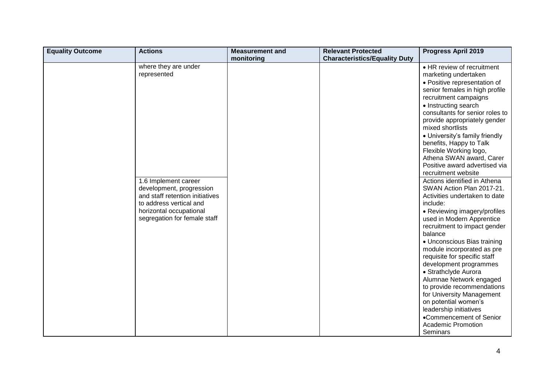| monitoring                                                                                                                                                                                                       | <b>Characteristics/Equality Duty</b>                                                                                                                                                                                                                                                                                                                                                                                                                                                                                                                                                                                                                                                                                                                                                                                                                                                                                                                                                                     |
|------------------------------------------------------------------------------------------------------------------------------------------------------------------------------------------------------------------|----------------------------------------------------------------------------------------------------------------------------------------------------------------------------------------------------------------------------------------------------------------------------------------------------------------------------------------------------------------------------------------------------------------------------------------------------------------------------------------------------------------------------------------------------------------------------------------------------------------------------------------------------------------------------------------------------------------------------------------------------------------------------------------------------------------------------------------------------------------------------------------------------------------------------------------------------------------------------------------------------------|
|                                                                                                                                                                                                                  |                                                                                                                                                                                                                                                                                                                                                                                                                                                                                                                                                                                                                                                                                                                                                                                                                                                                                                                                                                                                          |
| where they are under<br>represented<br>1.6 Implement career<br>development, progression<br>and staff retention initiatives<br>to address vertical and<br>horizontal occupational<br>segregation for female staff | • HR review of recruitment<br>marketing undertaken<br>• Positive representation of<br>senior females in high profile<br>recruitment campaigns<br>• Instructing search<br>consultants for senior roles to<br>provide appropriately gender<br>mixed shortlists<br>• University's family friendly<br>benefits, Happy to Talk<br>Flexible Working logo,<br>Athena SWAN award, Carer<br>Positive award advertised via<br>recruitment website<br>Actions identified in Athena<br>SWAN Action Plan 2017-21.<br>Activities undertaken to date<br>include:<br>• Reviewing imagery/profiles<br>used in Modern Apprentice<br>recruitment to impact gender<br>balance<br>• Unconscious Bias training<br>module incorporated as pre<br>requisite for specific staff<br>development programmes<br>• Strathclyde Aurora<br>Alumnae Network engaged<br>to provide recommendations<br>for University Management<br>on potential women's<br>leadership initiatives<br>•Commencement of Senior<br><b>Academic Promotion</b> |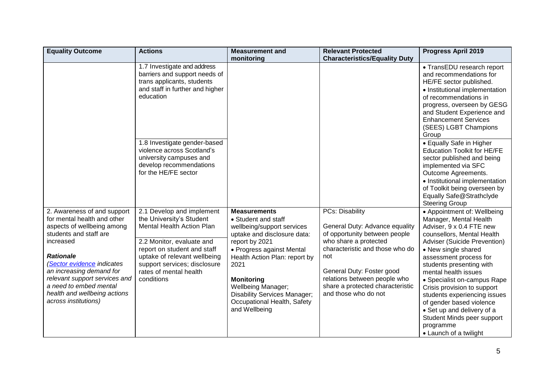| <b>Equality Outcome</b>                                                                                                                                                                                                                                                                                                          | <b>Actions</b>                                                                                                                                                                                                                                                | <b>Measurement and</b>                                                                                                                                                                                                                                                                                                            | <b>Relevant Protected</b>                                                                                                                                                                                                                                                             | <b>Progress April 2019</b>                                                                                                                                                                                                                                                                                                                                                                                                                                                        |
|----------------------------------------------------------------------------------------------------------------------------------------------------------------------------------------------------------------------------------------------------------------------------------------------------------------------------------|---------------------------------------------------------------------------------------------------------------------------------------------------------------------------------------------------------------------------------------------------------------|-----------------------------------------------------------------------------------------------------------------------------------------------------------------------------------------------------------------------------------------------------------------------------------------------------------------------------------|---------------------------------------------------------------------------------------------------------------------------------------------------------------------------------------------------------------------------------------------------------------------------------------|-----------------------------------------------------------------------------------------------------------------------------------------------------------------------------------------------------------------------------------------------------------------------------------------------------------------------------------------------------------------------------------------------------------------------------------------------------------------------------------|
|                                                                                                                                                                                                                                                                                                                                  |                                                                                                                                                                                                                                                               | monitoring                                                                                                                                                                                                                                                                                                                        | <b>Characteristics/Equality Duty</b>                                                                                                                                                                                                                                                  |                                                                                                                                                                                                                                                                                                                                                                                                                                                                                   |
|                                                                                                                                                                                                                                                                                                                                  | 1.7 Investigate and address<br>barriers and support needs of<br>trans applicants, students<br>and staff in further and higher<br>education                                                                                                                    |                                                                                                                                                                                                                                                                                                                                   |                                                                                                                                                                                                                                                                                       | • TransEDU research report<br>and recommendations for<br>HE/FE sector published.<br>• Institutional implementation<br>of recommendations in<br>progress, overseen by GESG<br>and Student Experience and<br><b>Enhancement Services</b><br>(SEES) LGBT Champions<br>Group                                                                                                                                                                                                          |
|                                                                                                                                                                                                                                                                                                                                  | 1.8 Investigate gender-based<br>violence across Scotland's<br>university campuses and<br>develop recommendations<br>for the HE/FE sector                                                                                                                      |                                                                                                                                                                                                                                                                                                                                   |                                                                                                                                                                                                                                                                                       | • Equally Safe in Higher<br><b>Education Toolkit for HE/FE</b><br>sector published and being<br>implemented via SFC<br>Outcome Agreements.<br>• Institutional implementation<br>of Toolkit being overseen by<br>Equally Safe@Strathclyde<br><b>Steering Group</b>                                                                                                                                                                                                                 |
| 2. Awareness of and support<br>for mental health and other<br>aspects of wellbeing among<br>students and staff are<br>increased<br><b>Rationale</b><br>(Sector evidence indicates<br>an increasing demand for<br>relevant support services and<br>a need to embed mental<br>health and wellbeing actions<br>across institutions) | 2.1 Develop and implement<br>the University's Student<br><b>Mental Health Action Plan</b><br>2.2 Monitor, evaluate and<br>report on student and staff<br>uptake of relevant wellbeing<br>support services; disclosure<br>rates of mental health<br>conditions | <b>Measurements</b><br>• Student and staff<br>wellbeing/support services<br>uptake and disclosure data:<br>report by 2021<br>• Progress against Mental<br>Health Action Plan: report by<br>2021<br><b>Monitoring</b><br>Wellbeing Manager;<br><b>Disability Services Manager;</b><br>Occupational Health, Safety<br>and Wellbeing | <b>PCs: Disability</b><br>General Duty: Advance equality<br>of opportunity between people<br>who share a protected<br>characteristic and those who do<br>not<br>General Duty: Foster good<br>relations between people who<br>share a protected characteristic<br>and those who do not | • Appointment of: Wellbeing<br>Manager, Mental Health<br>Adviser, 9 x 0.4 FTE new<br>counsellors, Mental Health<br>Adviser (Suicide Prevention)<br>• New single shared<br>assessment process for<br>students presenting with<br>mental health issues<br>• Specialist on-campus Rape<br>Crisis provision to support<br>students experiencing issues<br>of gender based violence<br>• Set up and delivery of a<br>Student Minds peer support<br>programme<br>• Launch of a twilight |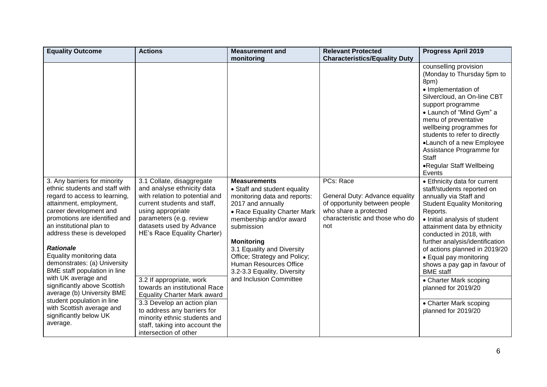| <b>Equality Outcome</b>                                                                                                                                                                                                                                                                                                                                                                | <b>Actions</b>                                                                                                                                                                                                                                                  | <b>Measurement and</b>                                                                                                                                                                                                                                                                                                                                   | <b>Relevant Protected</b>                                                                                                                       | <b>Progress April 2019</b>                                                                                                                                                                                                                                                                                                                                                                                     |
|----------------------------------------------------------------------------------------------------------------------------------------------------------------------------------------------------------------------------------------------------------------------------------------------------------------------------------------------------------------------------------------|-----------------------------------------------------------------------------------------------------------------------------------------------------------------------------------------------------------------------------------------------------------------|----------------------------------------------------------------------------------------------------------------------------------------------------------------------------------------------------------------------------------------------------------------------------------------------------------------------------------------------------------|-------------------------------------------------------------------------------------------------------------------------------------------------|----------------------------------------------------------------------------------------------------------------------------------------------------------------------------------------------------------------------------------------------------------------------------------------------------------------------------------------------------------------------------------------------------------------|
|                                                                                                                                                                                                                                                                                                                                                                                        |                                                                                                                                                                                                                                                                 | monitoring                                                                                                                                                                                                                                                                                                                                               | <b>Characteristics/Equality Duty</b>                                                                                                            |                                                                                                                                                                                                                                                                                                                                                                                                                |
|                                                                                                                                                                                                                                                                                                                                                                                        |                                                                                                                                                                                                                                                                 |                                                                                                                                                                                                                                                                                                                                                          |                                                                                                                                                 | counselling provision<br>(Monday to Thursday 5pm to<br>8pm)<br>• Implementation of<br>Silvercloud, an On-line CBT<br>support programme<br>• Launch of "Mind Gym" a<br>menu of preventative<br>wellbeing programmes for<br>students to refer to directly<br>•Launch of a new Employee<br>Assistance Programme for<br><b>Staff</b><br>•Regular Staff Wellbeing<br>Events                                         |
| 3. Any barriers for minority<br>ethnic students and staff with<br>regard to access to learning,<br>attainment, employment,<br>career development and<br>promotions are identified and<br>an institutional plan to<br>address these is developed<br><b>Rationale</b><br>Equality monitoring data<br>demonstrates: (a) University<br>BME staff population in line<br>with UK average and | 3.1 Collate, disaggregate<br>and analyse ethnicity data<br>with relation to potential and<br>current students and staff,<br>using appropriate<br>parameters (e.g. review<br>datasets used by Advance<br>HE's Race Equality Charter)<br>3.2 If appropriate, work | <b>Measurements</b><br>• Staff and student equality<br>monitoring data and reports:<br>2017 and annually<br>• Race Equality Charter Mark<br>membership and/or award<br>submission<br><b>Monitoring</b><br>3.1 Equality and Diversity<br>Office; Strategy and Policy;<br>Human Resources Office<br>3.2-3.3 Equality, Diversity<br>and Inclusion Committee | PCs: Race<br>General Duty: Advance equality<br>of opportunity between people<br>who share a protected<br>characteristic and those who do<br>not | • Ethnicity data for current<br>staff/students reported on<br>annually via Staff and<br><b>Student Equality Monitoring</b><br>Reports.<br>• Initial analysis of student<br>attainment data by ethnicity<br>conducted in 2018, with<br>further analysis/identification<br>of actions planned in 2019/20<br>• Equal pay monitoring<br>shows a pay gap in favour of<br><b>BME</b> staff<br>• Charter Mark scoping |
| significantly above Scottish<br>average (b) University BME<br>student population in line<br>with Scottish average and<br>significantly below UK<br>average.                                                                                                                                                                                                                            | towards an institutional Race<br><b>Equality Charter Mark award</b><br>3.3 Develop an action plan<br>to address any barriers for<br>minority ethnic students and<br>staff, taking into account the                                                              |                                                                                                                                                                                                                                                                                                                                                          |                                                                                                                                                 | planned for 2019/20<br>• Charter Mark scoping<br>planned for 2019/20                                                                                                                                                                                                                                                                                                                                           |
|                                                                                                                                                                                                                                                                                                                                                                                        | intersection of other                                                                                                                                                                                                                                           |                                                                                                                                                                                                                                                                                                                                                          |                                                                                                                                                 |                                                                                                                                                                                                                                                                                                                                                                                                                |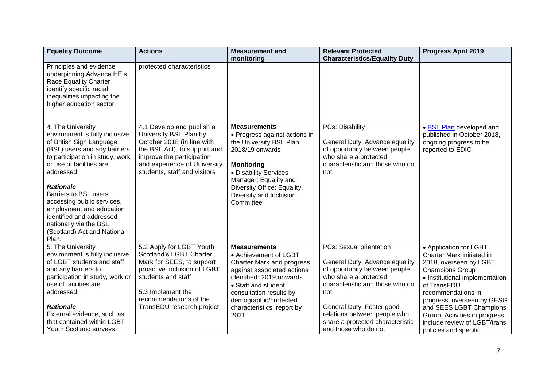| <b>Equality Outcome</b>                                                                                                                                                                                                                                                                                                                                                                                 | <b>Actions</b>                                                                                                                                                                                                    | <b>Measurement and</b>                                                                                                                                                                                                                               | <b>Relevant Protected</b>                                                                                                                                                                                                                                                                     | <b>Progress April 2019</b>                                                                                                                                                                                                                                                                                                        |
|---------------------------------------------------------------------------------------------------------------------------------------------------------------------------------------------------------------------------------------------------------------------------------------------------------------------------------------------------------------------------------------------------------|-------------------------------------------------------------------------------------------------------------------------------------------------------------------------------------------------------------------|------------------------------------------------------------------------------------------------------------------------------------------------------------------------------------------------------------------------------------------------------|-----------------------------------------------------------------------------------------------------------------------------------------------------------------------------------------------------------------------------------------------------------------------------------------------|-----------------------------------------------------------------------------------------------------------------------------------------------------------------------------------------------------------------------------------------------------------------------------------------------------------------------------------|
|                                                                                                                                                                                                                                                                                                                                                                                                         |                                                                                                                                                                                                                   | monitoring                                                                                                                                                                                                                                           | <b>Characteristics/Equality Duty</b>                                                                                                                                                                                                                                                          |                                                                                                                                                                                                                                                                                                                                   |
| Principles and evidence<br>underpinning Advance HE's<br>Race Equality Charter<br>identify specific racial<br>inequalities impacting the<br>higher education sector                                                                                                                                                                                                                                      | protected characteristics                                                                                                                                                                                         |                                                                                                                                                                                                                                                      |                                                                                                                                                                                                                                                                                               |                                                                                                                                                                                                                                                                                                                                   |
| 4. The University<br>environment is fully inclusive<br>of British Sign Language<br>(BSL) users and any barriers<br>to participation in study, work<br>or use of facilities are<br>addressed<br><b>Rationale</b><br><b>Barriers to BSL users</b><br>accessing public services,<br>employment and education<br>identified and addressed<br>nationally via the BSL<br>(Scotland) Act and National<br>Plan. | 4.1 Develop and publish a<br>University BSL Plan by<br>October 2018 (in line with<br>the BSL Act), to support and<br>improve the participation<br>and experience of University<br>students, staff and visitors    | <b>Measurements</b><br>• Progress against actions in<br>the University BSL Plan:<br>2018/19 onwards<br><b>Monitoring</b><br>• Disability Services<br>Manager; Equality and<br>Diversity Office; Equality,<br>Diversity and Inclusion<br>Committee    | <b>PCs: Disability</b><br>General Duty: Advance equality<br>of opportunity between people<br>who share a protected<br>characteristic and those who do<br>not                                                                                                                                  | · BSL Plan developed and<br>published in October 2018,<br>ongoing progress to be<br>reported to EDIC                                                                                                                                                                                                                              |
| 5. The University<br>environment is fully inclusive<br>of LGBT students and staff<br>and any barriers to<br>participation in study, work or<br>use of facilities are<br>addressed<br><b>Rationale</b><br>External evidence, such as<br>that contained within LGBT<br>Youth Scotland surveys,                                                                                                            | 5.2 Apply for LGBT Youth<br>Scotland's LGBT Charter<br>Mark for SEES, to support<br>proactive inclusion of LGBT<br>students and staff<br>5.3 Implement the<br>recommendations of the<br>TransEDU research project | <b>Measurements</b><br>• Achievement of LGBT<br>Charter Mark and progress<br>against associated actions<br>identified: 2019 onwards<br>• Staff and student<br>consultation results by<br>demographic/protected<br>characteristics: report by<br>2021 | <b>PCs: Sexual orientation</b><br>General Duty: Advance equality<br>of opportunity between people<br>who share a protected<br>characteristic and those who do<br>not<br>General Duty: Foster good<br>relations between people who<br>share a protected characteristic<br>and those who do not | • Application for LGBT<br>Charter Mark initiated in<br>2018, overseen by LGBT<br><b>Champions Group</b><br>• Institutional implementation<br>of TransEDU<br>recommendations in<br>progress, overseen by GESG<br>and SEES LGBT Champions<br>Group. Activities in progress<br>include review of LGBT/trans<br>policies and specific |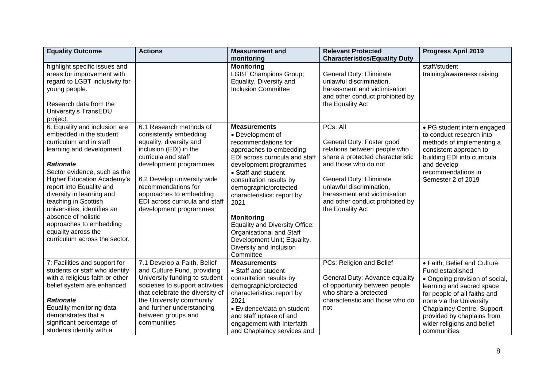| <b>Equality Outcome</b>                                                                                                                                                                                                                                                                                                                                                                                                            | <b>Actions</b>                                                                                                                                                                                                                                                                                       | <b>Measurement and</b>                                                                                                                                                                                                                                                                                                                                                                                                           | <b>Relevant Protected</b>                                                                                                                                                                                                                                                       | <b>Progress April 2019</b>                                                                                                                                                                                                                                                                |
|------------------------------------------------------------------------------------------------------------------------------------------------------------------------------------------------------------------------------------------------------------------------------------------------------------------------------------------------------------------------------------------------------------------------------------|------------------------------------------------------------------------------------------------------------------------------------------------------------------------------------------------------------------------------------------------------------------------------------------------------|----------------------------------------------------------------------------------------------------------------------------------------------------------------------------------------------------------------------------------------------------------------------------------------------------------------------------------------------------------------------------------------------------------------------------------|---------------------------------------------------------------------------------------------------------------------------------------------------------------------------------------------------------------------------------------------------------------------------------|-------------------------------------------------------------------------------------------------------------------------------------------------------------------------------------------------------------------------------------------------------------------------------------------|
|                                                                                                                                                                                                                                                                                                                                                                                                                                    |                                                                                                                                                                                                                                                                                                      | monitoring                                                                                                                                                                                                                                                                                                                                                                                                                       | <b>Characteristics/Equality Duty</b>                                                                                                                                                                                                                                            |                                                                                                                                                                                                                                                                                           |
| highlight specific issues and<br>areas for improvement with<br>regard to LGBT inclusivity for<br>young people.<br>Research data from the<br>University's TransEDU<br>project.                                                                                                                                                                                                                                                      |                                                                                                                                                                                                                                                                                                      | <b>Monitoring</b><br><b>LGBT Champions Group;</b><br>Equality, Diversity and<br><b>Inclusion Committee</b>                                                                                                                                                                                                                                                                                                                       | General Duty: Eliminate<br>unlawful discrimination,<br>harassment and victimisation<br>and other conduct prohibited by<br>the Equality Act                                                                                                                                      | staff/student<br>training/awareness raising                                                                                                                                                                                                                                               |
| 6. Equality and inclusion are<br>embedded in the student<br>curriculum and in staff<br>learning and development<br><b>Rationale</b><br>Sector evidence, such as the<br><b>Higher Education Academy's</b><br>report into Equality and<br>diversity in learning and<br>teaching in Scottish<br>universities, identifies an<br>absence of holistic<br>approaches to embedding<br>equality across the<br>curriculum across the sector. | 6.1 Research methods of<br>consistently embedding<br>equality, diversity and<br>inclusion (EDI) in the<br>curricula and staff<br>development programmes<br>6.2 Develop university wide<br>recommendations for<br>approaches to embedding<br>EDI across curricula and staff<br>development programmes | <b>Measurements</b><br>• Development of<br>recommendations for<br>approaches to embedding<br>EDI across curricula and staff<br>development programmes<br>• Staff and student<br>consultation results by<br>demographic/protected<br>characteristics: report by<br>2021<br><b>Monitoring</b><br>Equality and Diversity Office;<br>Organisational and Staff<br>Development Unit; Equality,<br>Diversity and Inclusion<br>Committee | PCs: All<br>General Duty: Foster good<br>relations between people who<br>share a protected characteristic<br>and those who do not<br>General Duty: Eliminate<br>unlawful discrimination,<br>harassment and victimisation<br>and other conduct prohibited by<br>the Equality Act | • PG student intern engaged<br>to conduct research into<br>methods of implementing a<br>consistent approach to<br>building EDI into curricula<br>and develop<br>recommendations in<br>Semester 2 of 2019                                                                                  |
| 7: Facilities and support for<br>students or staff who identify<br>with a religious faith or other<br>belief system are enhanced.<br><b>Rationale</b><br>Equality monitoring data<br>demonstrates that a<br>significant percentage of<br>students identify with a                                                                                                                                                                  | 7.1 Develop a Faith, Belief<br>and Culture Fund, providing<br>University funding to student<br>societies to support activities<br>that celebrate the diversity of<br>the University community<br>and further understanding<br>between groups and<br>communities                                      | <b>Measurements</b><br>• Staff and student<br>consultation results by<br>demographic/protected<br>characteristics: report by<br>2021<br>• Evidence/data on student<br>and staff uptake of and<br>engagement with Interfaith<br>and Chaplaincy services and                                                                                                                                                                       | PCs: Religion and Belief<br>General Duty: Advance equality<br>of opportunity between people<br>who share a protected<br>characteristic and those who do<br>not                                                                                                                  | • Faith, Belief and Culture<br>Fund established<br>• Ongoing provision of social,<br>learning and sacred space<br>for people of all faiths and<br>none via the University<br><b>Chaplaincy Centre. Support</b><br>provided by chaplains from<br>wider religions and belief<br>communities |